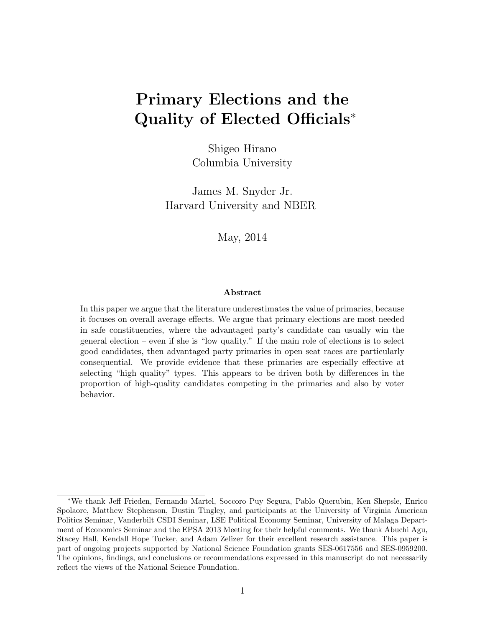# Primary Elections and the Quality of Elected Officials<sup>\*</sup>

Shigeo Hirano Columbia University

James M. Snyder Jr. Harvard University and NBER

May, 2014

#### Abstract

In this paper we argue that the literature underestimates the value of primaries, because it focuses on overall average effects. We argue that primary elections are most needed in safe constituencies, where the advantaged party's candidate can usually win the general election – even if she is "low quality." If the main role of elections is to select good candidates, then advantaged party primaries in open seat races are particularly consequential. We provide evidence that these primaries are especially effective at selecting "high quality" types. This appears to be driven both by differences in the proportion of high-quality candidates competing in the primaries and also by voter behavior.

<sup>∗</sup>We thank Jeff Frieden, Fernando Martel, Soccoro Puy Segura, Pablo Querubin, Ken Shepsle, Enrico Spolaore, Matthew Stephenson, Dustin Tingley, and participants at the University of Virginia American Politics Seminar, Vanderbilt CSDI Seminar, LSE Political Economy Seminar, University of Malaga Department of Economics Seminar and the EPSA 2013 Meeting for their helpful comments. We thank Abuchi Agu, Stacey Hall, Kendall Hope Tucker, and Adam Zelizer for their excellent research assistance. This paper is part of ongoing projects supported by National Science Foundation grants SES-0617556 and SES-0959200. The opinions, findings, and conclusions or recommendations expressed in this manuscript do not necessarily reflect the views of the National Science Foundation.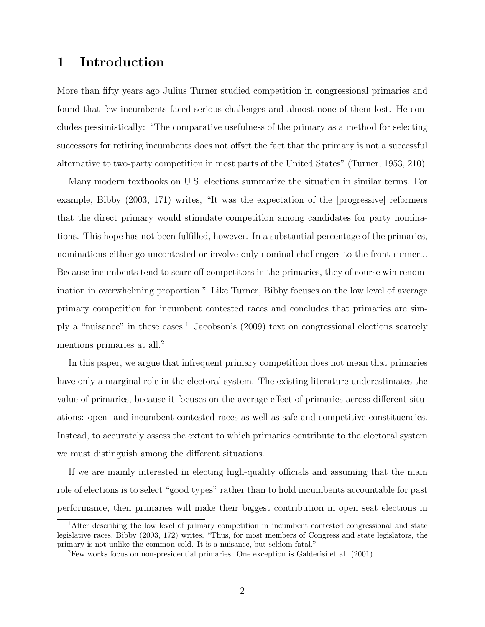### 1 Introduction

More than fifty years ago Julius Turner studied competition in congressional primaries and found that few incumbents faced serious challenges and almost none of them lost. He concludes pessimistically: "The comparative usefulness of the primary as a method for selecting successors for retiring incumbents does not offset the fact that the primary is not a successful alternative to two-party competition in most parts of the United States" (Turner, 1953, 210).

Many modern textbooks on U.S. elections summarize the situation in similar terms. For example, Bibby (2003, 171) writes, "It was the expectation of the [progressive] reformers that the direct primary would stimulate competition among candidates for party nominations. This hope has not been fulfilled, however. In a substantial percentage of the primaries, nominations either go uncontested or involve only nominal challengers to the front runner... Because incumbents tend to scare off competitors in the primaries, they of course win renomination in overwhelming proportion." Like Turner, Bibby focuses on the low level of average primary competition for incumbent contested races and concludes that primaries are simply a "nuisance" in these cases.<sup>1</sup> Jacobson's (2009) text on congressional elections scarcely mentions primaries at all.<sup>2</sup>

In this paper, we argue that infrequent primary competition does not mean that primaries have only a marginal role in the electoral system. The existing literature underestimates the value of primaries, because it focuses on the average effect of primaries across different situations: open- and incumbent contested races as well as safe and competitive constituencies. Instead, to accurately assess the extent to which primaries contribute to the electoral system we must distinguish among the different situations.

If we are mainly interested in electing high-quality officials and assuming that the main role of elections is to select "good types" rather than to hold incumbents accountable for past performance, then primaries will make their biggest contribution in open seat elections in

<sup>&</sup>lt;sup>1</sup>After describing the low level of primary competition in incumbent contested congressional and state legislative races, Bibby (2003, 172) writes, "Thus, for most members of Congress and state legislators, the primary is not unlike the common cold. It is a nuisance, but seldom fatal."

<sup>2</sup>Few works focus on non-presidential primaries. One exception is Galderisi et al. (2001).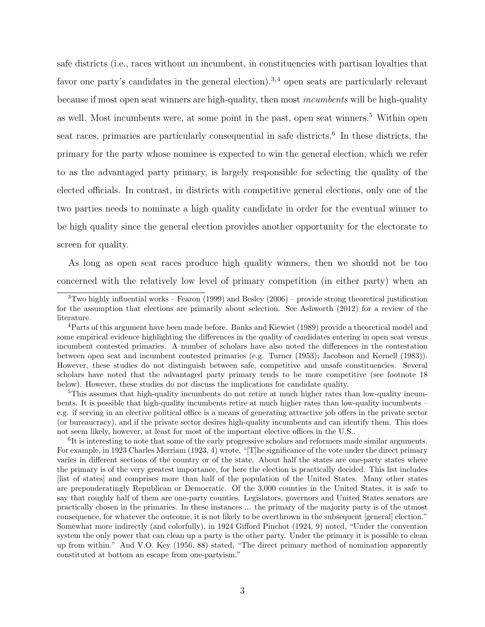safe districts (i.e., races without an incumbent, in constituencies with partisan loyalties that favor one party's candidates in the general election).<sup>3,4</sup> open seats are particularly relevant because if most open seat winners are high-quality, then most incumbents will be high-quality as well. Most incumbents were, at some point in the past, open seat winners.<sup>5</sup> Within open seat races, primaries are particularly consequential in safe districts.<sup>6</sup> In these districts, the primary for the party whose nominee is expected to win the general election, which we refer to as the advantaged party primary, is largely responsible for selecting the quality of the elected officials. In contrast, in districts with competitive general elections, only one of the two parties needs to nominate a high quality candidate in order for the eventual winner to be high quality since the general election provides another opportunity for the electorate to screen for quality.

As long as open seat races produce high quality winners, then we should not be too concerned with the relatively low level of primary competition (in either party) when an

<sup>5</sup>This assumes that high-quality incumbents do not retire at much higher rates than low-quality incumbents. It is possible that high-quality incumbents retire at much higher rates than low-quality incumbents – e.g. if serving in an elective political office is a means of generating attractive job offers in the private sector (or bureaucracy), and if the private sector desires high-quality incumbents and can identify them. This does not seem likely, however, at least for most of the important elective offices in the U.S..

<sup>6</sup>It is interesting to note that some of the early progressive scholars and reformers made similar arguments. For example, in 1923 Charles Merriam (1923, 4) wrote, "[T]he significance of the vote under the direct primary varies in different sections of the country or of the state. About half the states are one-party states where the primary is of the very greatest importance, for here the election is practically decided. This list includes [list of states] and comprises more than half of the population of the United States. Many other states are preponderatingly Republican or Democratic. Of the 3,000 counties in the United States, it is safe to say that roughly half of them are one-party counties. Legislators, governors and United States senators are practically chosen in the primaries. In these instances ... the primary of the majority party is of the utmost consequence, for whatever the outcome, it is not likely to be overthrown in the subsequent [general] election." Somewhat more indirectly (and colorfully), in 1924 Gifford Pinchot (1924, 9) noted, "Under the convention system the only power that can clean up a party is the other party. Under the primary it is possible to clean up from within." And V.O. Key (1956, 88) stated, "The direct primary method of nomination apparently constituted at bottom an escape from one-partyism."

 $3$ Two highly influential works – Fearon (1999) and Besley (2006) – provide strong theoretical justification for the assumption that elections are primarily about selection. See Ashworth (2012) for a review of the literature.

<sup>4</sup>Parts of this argument have been made before. Banks and Kiewiet (1989) provide a theoretical model and some empirical evidence highlighting the differences in the quality of candidates entering in open seat versus incumbent contested primaries. A number of scholars have also noted the differences in the contestation between open seat and incumbent contested primaries (e.g. Turner (1953); Jacobson and Kernell (1983)). However, these studies do not distinguish between safe, competitive and unsafe constituencies. Several scholars have noted that the advantaged party primary tends to be more competitive (see footnote 18 below). However, these studies do not discuss the implications for candidate quality.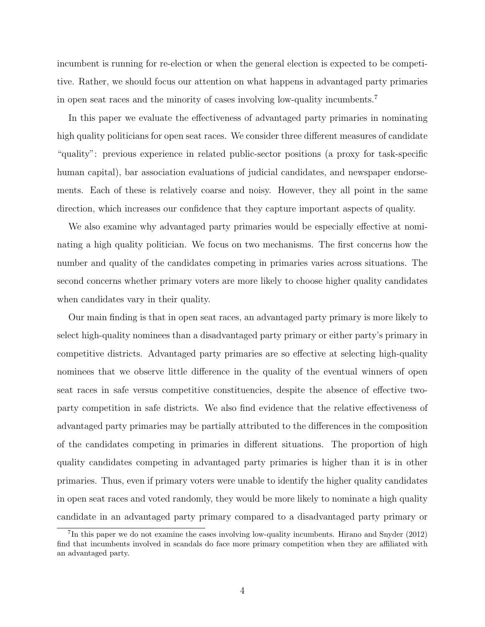incumbent is running for re-election or when the general election is expected to be competitive. Rather, we should focus our attention on what happens in advantaged party primaries in open seat races and the minority of cases involving low-quality incumbents.<sup>7</sup>

In this paper we evaluate the effectiveness of advantaged party primaries in nominating high quality politicians for open seat races. We consider three different measures of candidate "quality": previous experience in related public-sector positions (a proxy for task-specific human capital), bar association evaluations of judicial candidates, and newspaper endorsements. Each of these is relatively coarse and noisy. However, they all point in the same direction, which increases our confidence that they capture important aspects of quality.

We also examine why advantaged party primaries would be especially effective at nominating a high quality politician. We focus on two mechanisms. The first concerns how the number and quality of the candidates competing in primaries varies across situations. The second concerns whether primary voters are more likely to choose higher quality candidates when candidates vary in their quality.

Our main finding is that in open seat races, an advantaged party primary is more likely to select high-quality nominees than a disadvantaged party primary or either party's primary in competitive districts. Advantaged party primaries are so effective at selecting high-quality nominees that we observe little difference in the quality of the eventual winners of open seat races in safe versus competitive constituencies, despite the absence of effective twoparty competition in safe districts. We also find evidence that the relative effectiveness of advantaged party primaries may be partially attributed to the differences in the composition of the candidates competing in primaries in different situations. The proportion of high quality candidates competing in advantaged party primaries is higher than it is in other primaries. Thus, even if primary voters were unable to identify the higher quality candidates in open seat races and voted randomly, they would be more likely to nominate a high quality candidate in an advantaged party primary compared to a disadvantaged party primary or

<sup>&</sup>lt;sup>7</sup>In this paper we do not examine the cases involving low-quality incumbents. Hirano and Snyder (2012) find that incumbents involved in scandals do face more primary competition when they are affiliated with an advantaged party.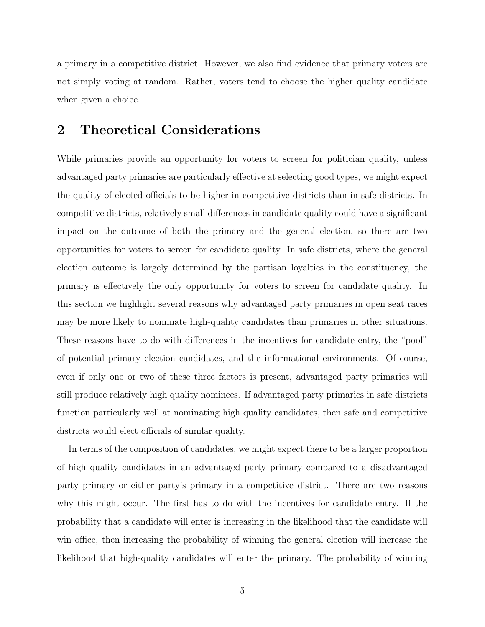a primary in a competitive district. However, we also find evidence that primary voters are not simply voting at random. Rather, voters tend to choose the higher quality candidate when given a choice.

### 2 Theoretical Considerations

While primaries provide an opportunity for voters to screen for politician quality, unless advantaged party primaries are particularly effective at selecting good types, we might expect the quality of elected officials to be higher in competitive districts than in safe districts. In competitive districts, relatively small differences in candidate quality could have a significant impact on the outcome of both the primary and the general election, so there are two opportunities for voters to screen for candidate quality. In safe districts, where the general election outcome is largely determined by the partisan loyalties in the constituency, the primary is effectively the only opportunity for voters to screen for candidate quality. In this section we highlight several reasons why advantaged party primaries in open seat races may be more likely to nominate high-quality candidates than primaries in other situations. These reasons have to do with differences in the incentives for candidate entry, the "pool" of potential primary election candidates, and the informational environments. Of course, even if only one or two of these three factors is present, advantaged party primaries will still produce relatively high quality nominees. If advantaged party primaries in safe districts function particularly well at nominating high quality candidates, then safe and competitive districts would elect officials of similar quality.

In terms of the composition of candidates, we might expect there to be a larger proportion of high quality candidates in an advantaged party primary compared to a disadvantaged party primary or either party's primary in a competitive district. There are two reasons why this might occur. The first has to do with the incentives for candidate entry. If the probability that a candidate will enter is increasing in the likelihood that the candidate will win office, then increasing the probability of winning the general election will increase the likelihood that high-quality candidates will enter the primary. The probability of winning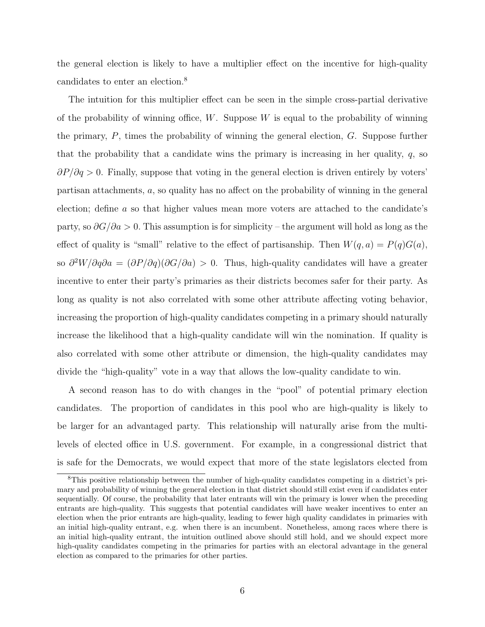the general election is likely to have a multiplier effect on the incentive for high-quality candidates to enter an election.<sup>8</sup>

The intuition for this multiplier effect can be seen in the simple cross-partial derivative of the probability of winning office,  $W$ . Suppose  $W$  is equal to the probability of winning the primary,  $P$ , times the probability of winning the general election,  $G$ . Suppose further that the probability that a candidate wins the primary is increasing in her quality,  $q$ , so  $\partial P/\partial q > 0$ . Finally, suppose that voting in the general election is driven entirely by voters' partisan attachments, a, so quality has no affect on the probability of winning in the general election; define a so that higher values mean more voters are attached to the candidate's party, so  $\partial G/\partial a > 0$ . This assumption is for simplicity – the argument will hold as long as the effect of quality is "small" relative to the effect of partisanship. Then  $W(q, a) = P(q)G(a)$ , so  $\partial^2 W / \partial q \partial a = (\partial P / \partial q) (\partial G / \partial a) > 0$ . Thus, high-quality candidates will have a greater incentive to enter their party's primaries as their districts becomes safer for their party. As long as quality is not also correlated with some other attribute affecting voting behavior, increasing the proportion of high-quality candidates competing in a primary should naturally increase the likelihood that a high-quality candidate will win the nomination. If quality is also correlated with some other attribute or dimension, the high-quality candidates may divide the "high-quality" vote in a way that allows the low-quality candidate to win.

A second reason has to do with changes in the "pool" of potential primary election candidates. The proportion of candidates in this pool who are high-quality is likely to be larger for an advantaged party. This relationship will naturally arise from the multilevels of elected office in U.S. government. For example, in a congressional district that is safe for the Democrats, we would expect that more of the state legislators elected from

<sup>8</sup>This positive relationship between the number of high-quality candidates competing in a district's primary and probability of winning the general election in that district should still exist even if candidates enter sequentially. Of course, the probability that later entrants will win the primary is lower when the preceding entrants are high-quality. This suggests that potential candidates will have weaker incentives to enter an election when the prior entrants are high-quality, leading to fewer high quality candidates in primaries with an initial high-quality entrant, e.g. when there is an incumbent. Nonetheless, among races where there is an initial high-quality entrant, the intuition outlined above should still hold, and we should expect more high-quality candidates competing in the primaries for parties with an electoral advantage in the general election as compared to the primaries for other parties.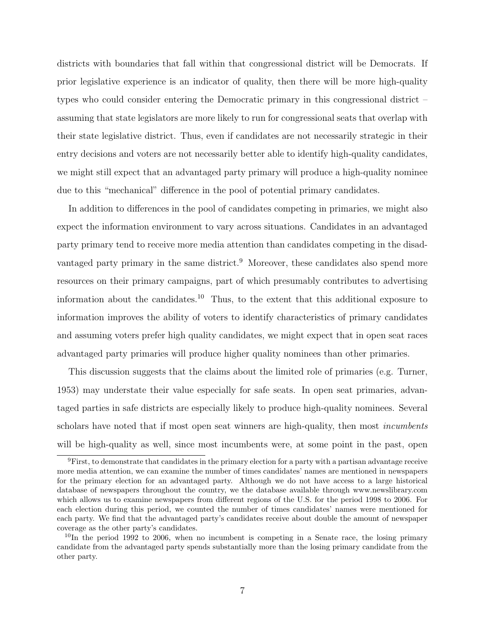districts with boundaries that fall within that congressional district will be Democrats. If prior legislative experience is an indicator of quality, then there will be more high-quality types who could consider entering the Democratic primary in this congressional district – assuming that state legislators are more likely to run for congressional seats that overlap with their state legislative district. Thus, even if candidates are not necessarily strategic in their entry decisions and voters are not necessarily better able to identify high-quality candidates, we might still expect that an advantaged party primary will produce a high-quality nominee due to this "mechanical" difference in the pool of potential primary candidates.

In addition to differences in the pool of candidates competing in primaries, we might also expect the information environment to vary across situations. Candidates in an advantaged party primary tend to receive more media attention than candidates competing in the disadvantaged party primary in the same district.<sup>9</sup> Moreover, these candidates also spend more resources on their primary campaigns, part of which presumably contributes to advertising information about the candidates.<sup>10</sup> Thus, to the extent that this additional exposure to information improves the ability of voters to identify characteristics of primary candidates and assuming voters prefer high quality candidates, we might expect that in open seat races advantaged party primaries will produce higher quality nominees than other primaries.

This discussion suggests that the claims about the limited role of primaries (e.g. Turner, 1953) may understate their value especially for safe seats. In open seat primaries, advantaged parties in safe districts are especially likely to produce high-quality nominees. Several scholars have noted that if most open seat winners are high-quality, then most *incumbents* will be high-quality as well, since most incumbents were, at some point in the past, open

<sup>9</sup>First, to demonstrate that candidates in the primary election for a party with a partisan advantage receive more media attention, we can examine the number of times candidates' names are mentioned in newspapers for the primary election for an advantaged party. Although we do not have access to a large historical database of newspapers throughout the country, we the database available through www.newslibrary.com which allows us to examine newspapers from different regions of the U.S. for the period 1998 to 2006. For each election during this period, we counted the number of times candidates' names were mentioned for each party. We find that the advantaged party's candidates receive about double the amount of newspaper coverage as the other party's candidates.

 $10$ In the period 1992 to 2006, when no incumbent is competing in a Senate race, the losing primary candidate from the advantaged party spends substantially more than the losing primary candidate from the other party.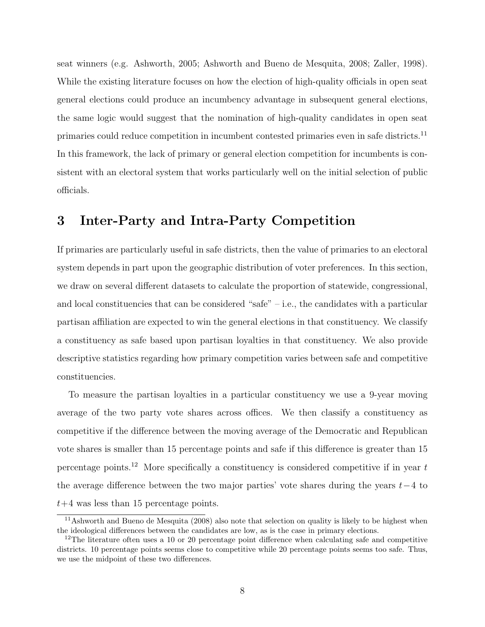seat winners (e.g. Ashworth, 2005; Ashworth and Bueno de Mesquita, 2008; Zaller, 1998). While the existing literature focuses on how the election of high-quality officials in open seat general elections could produce an incumbency advantage in subsequent general elections, the same logic would suggest that the nomination of high-quality candidates in open seat primaries could reduce competition in incumbent contested primaries even in safe districts.<sup>11</sup> In this framework, the lack of primary or general election competition for incumbents is consistent with an electoral system that works particularly well on the initial selection of public officials.

### 3 Inter-Party and Intra-Party Competition

If primaries are particularly useful in safe districts, then the value of primaries to an electoral system depends in part upon the geographic distribution of voter preferences. In this section, we draw on several different datasets to calculate the proportion of statewide, congressional, and local constituencies that can be considered "safe" – i.e., the candidates with a particular partisan affiliation are expected to win the general elections in that constituency. We classify a constituency as safe based upon partisan loyalties in that constituency. We also provide descriptive statistics regarding how primary competition varies between safe and competitive constituencies.

To measure the partisan loyalties in a particular constituency we use a 9-year moving average of the two party vote shares across offices. We then classify a constituency as competitive if the difference between the moving average of the Democratic and Republican vote shares is smaller than 15 percentage points and safe if this difference is greater than 15 percentage points.<sup>12</sup> More specifically a constituency is considered competitive if in year  $t$ the average difference between the two major parties' vote shares during the years  $t-4$  to  $t+4$  was less than 15 percentage points.

<sup>11</sup>Ashworth and Bueno de Mesquita (2008) also note that selection on quality is likely to be highest when the ideological differences between the candidates are low, as is the case in primary elections.

 $12$ The literature often uses a 10 or 20 percentage point difference when calculating safe and competitive districts. 10 percentage points seems close to competitive while 20 percentage points seems too safe. Thus, we use the midpoint of these two differences.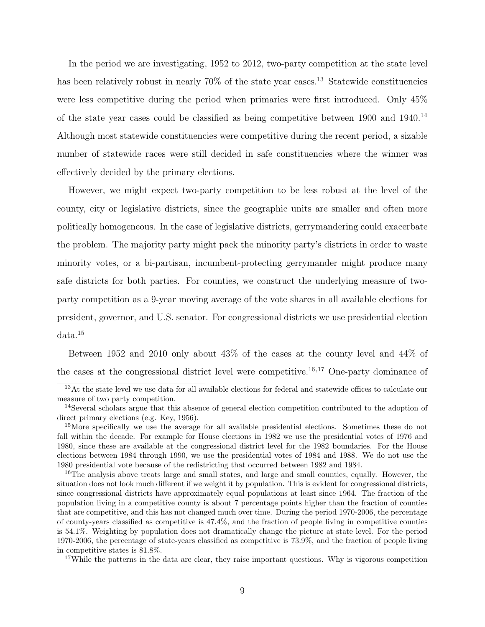In the period we are investigating, 1952 to 2012, two-party competition at the state level has been relatively robust in nearly 70% of the state year cases.<sup>13</sup> Statewide constituencies were less competitive during the period when primaries were first introduced. Only 45% of the state year cases could be classified as being competitive between 1900 and 1940.<sup>14</sup> Although most statewide constituencies were competitive during the recent period, a sizable number of statewide races were still decided in safe constituencies where the winner was effectively decided by the primary elections.

However, we might expect two-party competition to be less robust at the level of the county, city or legislative districts, since the geographic units are smaller and often more politically homogeneous. In the case of legislative districts, gerrymandering could exacerbate the problem. The majority party might pack the minority party's districts in order to waste minority votes, or a bi-partisan, incumbent-protecting gerrymander might produce many safe districts for both parties. For counties, we construct the underlying measure of twoparty competition as a 9-year moving average of the vote shares in all available elections for president, governor, and U.S. senator. For congressional districts we use presidential election data.<sup>15</sup>

Between 1952 and 2010 only about 43% of the cases at the county level and 44% of the cases at the congressional district level were competitive.<sup>16,17</sup> One-party dominance of

<sup>17</sup>While the patterns in the data are clear, they raise important questions. Why is vigorous competition

<sup>&</sup>lt;sup>13</sup>At the state level we use data for all available elections for federal and statewide offices to calculate our measure of two party competition.

<sup>&</sup>lt;sup>14</sup>Several scholars argue that this absence of general election competition contributed to the adoption of direct primary elections (e.g. Key, 1956).

<sup>&</sup>lt;sup>15</sup>More specifically we use the average for all available presidential elections. Sometimes these do not fall within the decade. For example for House elections in 1982 we use the presidential votes of 1976 and 1980, since these are available at the congressional district level for the 1982 boundaries. For the House elections between 1984 through 1990, we use the presidential votes of 1984 and 1988. We do not use the 1980 presidential vote because of the redistricting that occurred between 1982 and 1984.

<sup>&</sup>lt;sup>16</sup>The analysis above treats large and small states, and large and small counties, equally. However, the situation does not look much different if we weight it by population. This is evident for congressional districts, since congressional districts have approximately equal populations at least since 1964. The fraction of the population living in a competitive county is about 7 percentage points higher than the fraction of counties that are competitive, and this has not changed much over time. During the period 1970-2006, the percentage of county-years classified as competitive is 47.4%, and the fraction of people living in competitive counties is 54.1%. Weighting by population does not dramatically change the picture at state level. For the period 1970-2006, the percentage of state-years classified as competitive is 73.9%, and the fraction of people living in competitive states is 81.8%.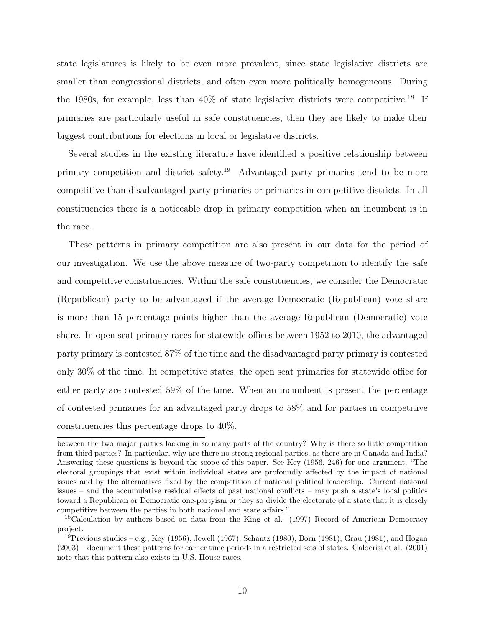state legislatures is likely to be even more prevalent, since state legislative districts are smaller than congressional districts, and often even more politically homogeneous. During the 1980s, for example, less than  $40\%$  of state legislative districts were competitive.<sup>18</sup> If primaries are particularly useful in safe constituencies, then they are likely to make their biggest contributions for elections in local or legislative districts.

Several studies in the existing literature have identified a positive relationship between primary competition and district safety.<sup>19</sup> Advantaged party primaries tend to be more competitive than disadvantaged party primaries or primaries in competitive districts. In all constituencies there is a noticeable drop in primary competition when an incumbent is in the race.

These patterns in primary competition are also present in our data for the period of our investigation. We use the above measure of two-party competition to identify the safe and competitive constituencies. Within the safe constituencies, we consider the Democratic (Republican) party to be advantaged if the average Democratic (Republican) vote share is more than 15 percentage points higher than the average Republican (Democratic) vote share. In open seat primary races for statewide offices between 1952 to 2010, the advantaged party primary is contested 87% of the time and the disadvantaged party primary is contested only 30% of the time. In competitive states, the open seat primaries for statewide office for either party are contested 59% of the time. When an incumbent is present the percentage of contested primaries for an advantaged party drops to 58% and for parties in competitive constituencies this percentage drops to 40%.

between the two major parties lacking in so many parts of the country? Why is there so little competition from third parties? In particular, why are there no strong regional parties, as there are in Canada and India? Answering these questions is beyond the scope of this paper. See Key (1956, 246) for one argument, "The electoral groupings that exist within individual states are profoundly affected by the impact of national issues and by the alternatives fixed by the competition of national political leadership. Current national issues – and the accumulative residual effects of past national conflicts – may push a state's local politics toward a Republican or Democratic one-partyism or they so divide the electorate of a state that it is closely competitive between the parties in both national and state affairs."

<sup>18</sup>Calculation by authors based on data from the King et al. (1997) Record of American Democracy project.

<sup>&</sup>lt;sup>19</sup>Previous studies – e.g., Key (1956), Jewell (1967), Schantz (1980), Born (1981), Grau (1981), and Hogan (2003) – document these patterns for earlier time periods in a restricted sets of states. Galderisi et al. (2001) note that this pattern also exists in U.S. House races.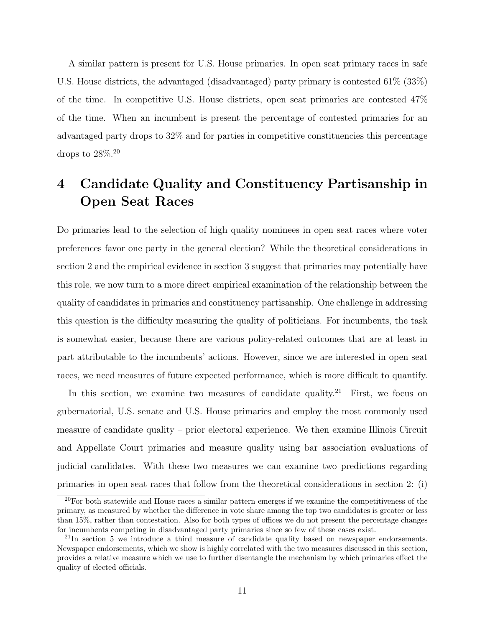A similar pattern is present for U.S. House primaries. In open seat primary races in safe U.S. House districts, the advantaged (disadvantaged) party primary is contested 61% (33%) of the time. In competitive U.S. House districts, open seat primaries are contested 47% of the time. When an incumbent is present the percentage of contested primaries for an advantaged party drops to 32% and for parties in competitive constituencies this percentage drops to 28%.<sup>20</sup>

## 4 Candidate Quality and Constituency Partisanship in Open Seat Races

Do primaries lead to the selection of high quality nominees in open seat races where voter preferences favor one party in the general election? While the theoretical considerations in section 2 and the empirical evidence in section 3 suggest that primaries may potentially have this role, we now turn to a more direct empirical examination of the relationship between the quality of candidates in primaries and constituency partisanship. One challenge in addressing this question is the difficulty measuring the quality of politicians. For incumbents, the task is somewhat easier, because there are various policy-related outcomes that are at least in part attributable to the incumbents' actions. However, since we are interested in open seat races, we need measures of future expected performance, which is more difficult to quantify.

In this section, we examine two measures of candidate quality.<sup>21</sup> First, we focus on gubernatorial, U.S. senate and U.S. House primaries and employ the most commonly used measure of candidate quality – prior electoral experience. We then examine Illinois Circuit and Appellate Court primaries and measure quality using bar association evaluations of judicial candidates. With these two measures we can examine two predictions regarding primaries in open seat races that follow from the theoretical considerations in section 2: (i)

 $20$ For both statewide and House races a similar pattern emerges if we examine the competitiveness of the primary, as measured by whether the difference in vote share among the top two candidates is greater or less than 15%, rather than contestation. Also for both types of offices we do not present the percentage changes for incumbents competing in disadvantaged party primaries since so few of these cases exist.

<sup>&</sup>lt;sup>21</sup>In section 5 we introduce a third measure of candidate quality based on newspaper endorsements. Newspaper endorsements, which we show is highly correlated with the two measures discussed in this section, provides a relative measure which we use to further disentangle the mechanism by which primaries effect the quality of elected officials.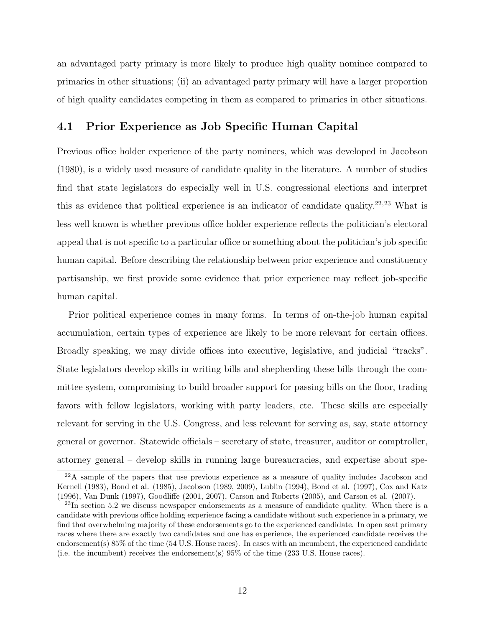an advantaged party primary is more likely to produce high quality nominee compared to primaries in other situations; (ii) an advantaged party primary will have a larger proportion of high quality candidates competing in them as compared to primaries in other situations.

#### 4.1 Prior Experience as Job Specific Human Capital

Previous office holder experience of the party nominees, which was developed in Jacobson (1980), is a widely used measure of candidate quality in the literature. A number of studies find that state legislators do especially well in U.S. congressional elections and interpret this as evidence that political experience is an indicator of candidate quality.<sup>22,23</sup> What is less well known is whether previous office holder experience reflects the politician's electoral appeal that is not specific to a particular office or something about the politician's job specific human capital. Before describing the relationship between prior experience and constituency partisanship, we first provide some evidence that prior experience may reflect job-specific human capital.

Prior political experience comes in many forms. In terms of on-the-job human capital accumulation, certain types of experience are likely to be more relevant for certain offices. Broadly speaking, we may divide offices into executive, legislative, and judicial "tracks". State legislators develop skills in writing bills and shepherding these bills through the committee system, compromising to build broader support for passing bills on the floor, trading favors with fellow legislators, working with party leaders, etc. These skills are especially relevant for serving in the U.S. Congress, and less relevant for serving as, say, state attorney general or governor. Statewide officials – secretary of state, treasurer, auditor or comptroller, attorney general – develop skills in running large bureaucracies, and expertise about spe-

<sup>&</sup>lt;sup>22</sup>A sample of the papers that use previous experience as a measure of quality includes Jacobson and Kernell (1983), Bond et al. (1985), Jacobson (1989, 2009), Lublin (1994), Bond et al. (1997), Cox and Katz (1996), Van Dunk (1997), Goodliffe (2001, 2007), Carson and Roberts (2005), and Carson et al. (2007).

 $^{23}$ In section 5.2 we discuss newspaper endorsements as a measure of candidate quality. When there is a candidate with previous office holding experience facing a candidate without such experience in a primary, we find that overwhelming majority of these endorsements go to the experienced candidate. In open seat primary races where there are exactly two candidates and one has experience, the experienced candidate receives the endorsement(s) 85% of the time (54 U.S. House races). In cases with an incumbent, the experienced candidate (i.e. the incumbent) receives the endorsement(s) 95% of the time (233 U.S. House races).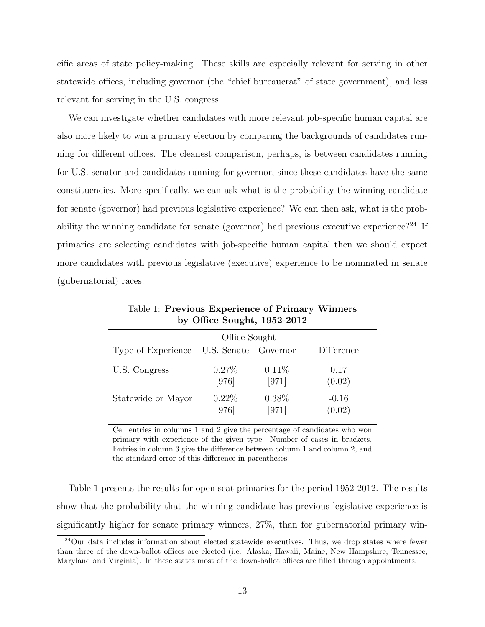cific areas of state policy-making. These skills are especially relevant for serving in other statewide offices, including governor (the "chief bureaucrat" of state government), and less relevant for serving in the U.S. congress.

We can investigate whether candidates with more relevant job-specific human capital are also more likely to win a primary election by comparing the backgrounds of candidates running for different offices. The cleanest comparison, perhaps, is between candidates running for U.S. senator and candidates running for governor, since these candidates have the same constituencies. More specifically, we can ask what is the probability the winning candidate for senate (governor) had previous legislative experience? We can then ask, what is the probability the winning candidate for senate (governor) had previous executive experience?<sup>24</sup> If primaries are selecting candidates with job-specific human capital then we should expect more candidates with previous legislative (executive) experience to be nominated in senate (gubernatorial) races.

| Office Sought      |                      |                   |                   |  |
|--------------------|----------------------|-------------------|-------------------|--|
| Type of Experience | U.S. Senate Governor |                   | Difference        |  |
| U.S. Congress      | $0.27\%$<br>[976]    | 0.11%<br>[971]    | 0.17<br>(0.02)    |  |
| Statewide or Mayor | $0.22\%$<br>[976]    | $0.38\%$<br>[971] | $-0.16$<br>(0.02) |  |

Table 1: Previous Experience of Primary Winners by Office Sought, 1952-2012

Cell entries in columns 1 and 2 give the percentage of candidates who won primary with experience of the given type. Number of cases in brackets. Entries in column 3 give the difference between column 1 and column 2, and the standard error of this difference in parentheses.

Table 1 presents the results for open seat primaries for the period 1952-2012. The results show that the probability that the winning candidate has previous legislative experience is significantly higher for senate primary winners, 27%, than for gubernatorial primary win-

<sup>24</sup>Our data includes information about elected statewide executives. Thus, we drop states where fewer than three of the down-ballot offices are elected (i.e. Alaska, Hawaii, Maine, New Hampshire, Tennessee, Maryland and Virginia). In these states most of the down-ballot offices are filled through appointments.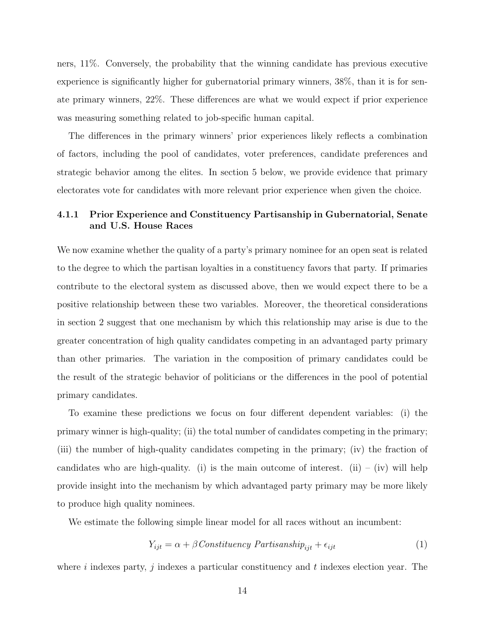ners, 11%. Conversely, the probability that the winning candidate has previous executive experience is significantly higher for gubernatorial primary winners, 38%, than it is for senate primary winners, 22%. These differences are what we would expect if prior experience was measuring something related to job-specific human capital.

The differences in the primary winners' prior experiences likely reflects a combination of factors, including the pool of candidates, voter preferences, candidate preferences and strategic behavior among the elites. In section 5 below, we provide evidence that primary electorates vote for candidates with more relevant prior experience when given the choice.

#### 4.1.1 Prior Experience and Constituency Partisanship in Gubernatorial, Senate and U.S. House Races

We now examine whether the quality of a party's primary nominee for an open seat is related to the degree to which the partisan loyalties in a constituency favors that party. If primaries contribute to the electoral system as discussed above, then we would expect there to be a positive relationship between these two variables. Moreover, the theoretical considerations in section 2 suggest that one mechanism by which this relationship may arise is due to the greater concentration of high quality candidates competing in an advantaged party primary than other primaries. The variation in the composition of primary candidates could be the result of the strategic behavior of politicians or the differences in the pool of potential primary candidates.

To examine these predictions we focus on four different dependent variables: (i) the primary winner is high-quality; (ii) the total number of candidates competing in the primary; (iii) the number of high-quality candidates competing in the primary; (iv) the fraction of candidates who are high-quality. (i) is the main outcome of interest. (ii) – (iv) will help provide insight into the mechanism by which advantaged party primary may be more likely to produce high quality nominees.

We estimate the following simple linear model for all races without an incumbent:

$$
Y_{ijt} = \alpha + \beta \text{Constructive} \text{Matrix} \text{anship}_{ijt} + \epsilon_{ijt} \tag{1}
$$

where i indexes party, j indexes a particular constituency and  $t$  indexes election year. The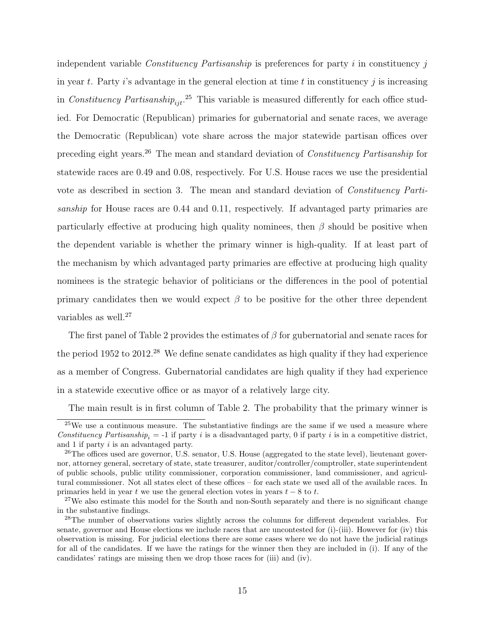independent variable *Constituency Partisanship* is preferences for party i in constituency j in year t. Party i's advantage in the general election at time t in constituency j is increasing in Constituency Partisanship<sub>ijt</sub>.<sup>25</sup> This variable is measured differently for each office studied. For Democratic (Republican) primaries for gubernatorial and senate races, we average the Democratic (Republican) vote share across the major statewide partisan offices over preceding eight years.<sup>26</sup> The mean and standard deviation of Constituency Partisanship for statewide races are 0.49 and 0.08, respectively. For U.S. House races we use the presidential vote as described in section 3. The mean and standard deviation of Constituency Partisanship for House races are 0.44 and 0.11, respectively. If advantaged party primaries are particularly effective at producing high quality nominees, then  $\beta$  should be positive when the dependent variable is whether the primary winner is high-quality. If at least part of the mechanism by which advantaged party primaries are effective at producing high quality nominees is the strategic behavior of politicians or the differences in the pool of potential primary candidates then we would expect  $\beta$  to be positive for the other three dependent variables as well.<sup>27</sup>

The first panel of Table 2 provides the estimates of  $\beta$  for gubernatorial and senate races for the period  $1952$  to  $2012<sup>28</sup>$  We define senate candidates as high quality if they had experience as a member of Congress. Gubernatorial candidates are high quality if they had experience in a statewide executive office or as mayor of a relatively large city.

The main result is in first column of Table 2. The probability that the primary winner is

 $25$ We use a continuous measure. The substantiative findings are the same if we used a measure where Constituency Partisanship<sub>i</sub> = -1 if party i is a disadvantaged party, 0 if party i is in a competitive district, and 1 if party i is an advantaged party.

 $^{26}$ The offices used are governor, U.S. senator, U.S. House (aggregated to the state level), lieutenant governor, attorney general, secretary of state, state treasurer, auditor/controller/comptroller, state superintendent of public schools, public utility commissioner, corporation commissioner, land commissioner, and agricultural commissioner. Not all states elect of these offices – for each state we used all of the available races. In primaries held in year t we use the general election votes in years  $t - 8$  to t.

<sup>&</sup>lt;sup>27</sup>We also estimate this model for the South and non-South separately and there is no significant change in the substantive findings.

<sup>&</sup>lt;sup>28</sup>The number of observations varies slightly across the columns for different dependent variables. For senate, governor and House elections we include races that are uncontested for (i)-(iii). However for (iv) this observation is missing. For judicial elections there are some cases where we do not have the judicial ratings for all of the candidates. If we have the ratings for the winner then they are included in (i). If any of the candidates' ratings are missing then we drop those races for (iii) and (iv).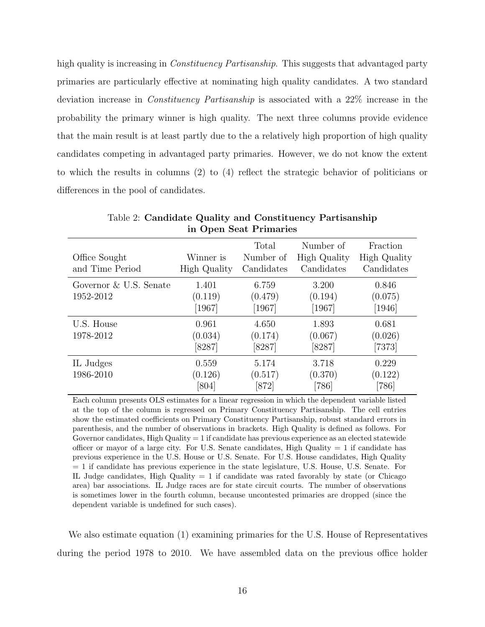high quality is increasing in *Constituency Partisanship*. This suggests that advantaged party primaries are particularly effective at nominating high quality candidates. A two standard deviation increase in Constituency Partisanship is associated with a 22% increase in the probability the primary winner is high quality. The next three columns provide evidence that the main result is at least partly due to the a relatively high proportion of high quality candidates competing in advantaged party primaries. However, we do not know the extent to which the results in columns (2) to (4) reflect the strategic behavior of politicians or differences in the pool of candidates.

| Office Sought<br>and Time Period    | Winner is<br><b>High Quality</b> | Total<br>Number of<br>Candidates | Number of<br>High Quality<br>Candidates | Fraction<br>High Quality<br>Candidates |
|-------------------------------------|----------------------------------|----------------------------------|-----------------------------------------|----------------------------------------|
| Governor & U.S. Senate<br>1952-2012 | 1.401<br>(0.119)<br>$[1967]$     | 6.759<br>(0.479)<br>$[1967]$     | 3.200<br>(0.194)<br>$\left[1967\right]$ | 0.846<br>(0.075)<br>$[1946]$           |
| U.S. House<br>1978-2012             | 0.961<br>(0.034)<br>$[8287]$     | 4.650<br>(0.174)<br>[8287]       | 1.893<br>(0.067)<br>[8287]              | 0.681<br>(0.026)<br>[7373]             |
| IL Judges<br>1986-2010              | 0.559<br>(0.126)<br>[804]        | 5.174<br>(0.517)<br>[872]        | 3.718<br>(0.370)<br>$[786]$             | 0.229<br>(0.122)<br>[786]              |

Table 2: Candidate Quality and Constituency Partisanship in Open Seat Primaries

Each column presents OLS estimates for a linear regression in which the dependent variable listed at the top of the column is regressed on Primary Constituency Partisanship. The cell entries show the estimated coefficients on Primary Constituency Partisanship, robust standard errors in parenthesis, and the number of observations in brackets. High Quality is defined as follows. For Governor candidates, High Quality  $= 1$  if candidate has previous experience as an elected statewide officer or mayor of a large city. For U.S. Senate candidates, High Quality  $= 1$  if candidate has previous experience in the U.S. House or U.S. Senate. For U.S. House candidates, High Quality = 1 if candidate has previous experience in the state legislature, U.S. House, U.S. Senate. For IL Judge candidates, High Quality  $= 1$  if candidate was rated favorably by state (or Chicago area) bar associations. IL Judge races are for state circuit courts. The number of observations is sometimes lower in the fourth column, because uncontested primaries are dropped (since the dependent variable is undefined for such cases).

We also estimate equation (1) examining primaries for the U.S. House of Representatives during the period 1978 to 2010. We have assembled data on the previous office holder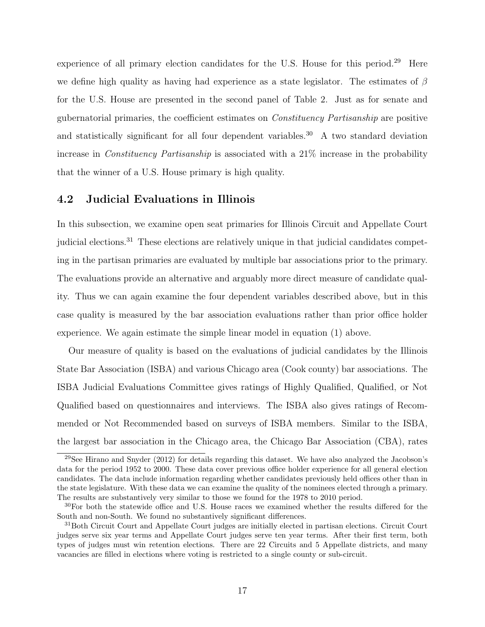experience of all primary election candidates for the U.S. House for this period.<sup>29</sup> Here we define high quality as having had experience as a state legislator. The estimates of  $\beta$ for the U.S. House are presented in the second panel of Table 2. Just as for senate and gubernatorial primaries, the coefficient estimates on Constituency Partisanship are positive and statistically significant for all four dependent variables.<sup>30</sup> A two standard deviation increase in Constituency Partisanship is associated with a 21% increase in the probability that the winner of a U.S. House primary is high quality.

#### 4.2 Judicial Evaluations in Illinois

In this subsection, we examine open seat primaries for Illinois Circuit and Appellate Court judicial elections.<sup>31</sup> These elections are relatively unique in that judicial candidates competing in the partisan primaries are evaluated by multiple bar associations prior to the primary. The evaluations provide an alternative and arguably more direct measure of candidate quality. Thus we can again examine the four dependent variables described above, but in this case quality is measured by the bar association evaluations rather than prior office holder experience. We again estimate the simple linear model in equation (1) above.

Our measure of quality is based on the evaluations of judicial candidates by the Illinois State Bar Association (ISBA) and various Chicago area (Cook county) bar associations. The ISBA Judicial Evaluations Committee gives ratings of Highly Qualified, Qualified, or Not Qualified based on questionnaires and interviews. The ISBA also gives ratings of Recommended or Not Recommended based on surveys of ISBA members. Similar to the ISBA, the largest bar association in the Chicago area, the Chicago Bar Association (CBA), rates

<sup>29</sup>See Hirano and Snyder (2012) for details regarding this dataset. We have also analyzed the Jacobson's data for the period 1952 to 2000. These data cover previous office holder experience for all general election candidates. The data include information regarding whether candidates previously held offices other than in the state legislature. With these data we can examine the quality of the nominees elected through a primary. The results are substantively very similar to those we found for the 1978 to 2010 period.

<sup>&</sup>lt;sup>30</sup>For both the statewide office and U.S. House races we examined whether the results differed for the South and non-South. We found no substantively significant differences.

<sup>&</sup>lt;sup>31</sup>Both Circuit Court and Appellate Court judges are initially elected in partisan elections. Circuit Court judges serve six year terms and Appellate Court judges serve ten year terms. After their first term, both types of judges must win retention elections. There are 22 Circuits and 5 Appellate districts, and many vacancies are filled in elections where voting is restricted to a single county or sub-circuit.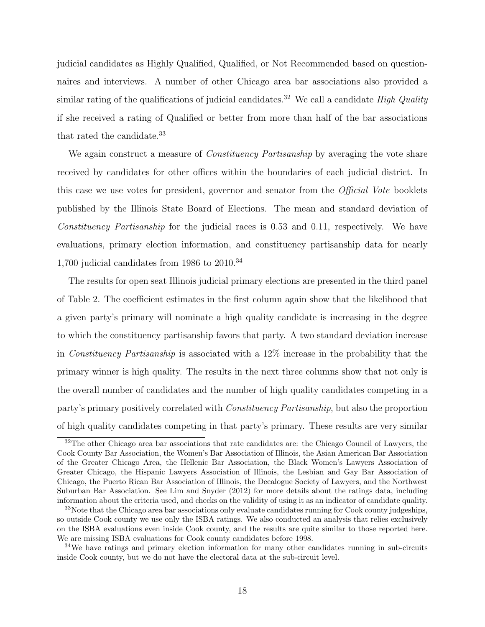judicial candidates as Highly Qualified, Qualified, or Not Recommended based on questionnaires and interviews. A number of other Chicago area bar associations also provided a similar rating of the qualifications of judicial candidates.<sup>32</sup> We call a candidate *High Quality* if she received a rating of Qualified or better from more than half of the bar associations that rated the candidate.<sup>33</sup>

We again construct a measure of *Constituency Partisanship* by averaging the vote share received by candidates for other offices within the boundaries of each judicial district. In this case we use votes for president, governor and senator from the Official Vote booklets published by the Illinois State Board of Elections. The mean and standard deviation of Constituency Partisanship for the judicial races is 0.53 and 0.11, respectively. We have evaluations, primary election information, and constituency partisanship data for nearly 1,700 judicial candidates from 1986 to  $2010^{34}$ 

The results for open seat Illinois judicial primary elections are presented in the third panel of Table 2. The coefficient estimates in the first column again show that the likelihood that a given party's primary will nominate a high quality candidate is increasing in the degree to which the constituency partisanship favors that party. A two standard deviation increase in Constituency Partisanship is associated with a 12% increase in the probability that the primary winner is high quality. The results in the next three columns show that not only is the overall number of candidates and the number of high quality candidates competing in a party's primary positively correlated with Constituency Partisanship, but also the proportion of high quality candidates competing in that party's primary. These results are very similar

<sup>&</sup>lt;sup>32</sup>The other Chicago area bar associations that rate candidates are: the Chicago Council of Lawyers, the Cook County Bar Association, the Women's Bar Association of Illinois, the Asian American Bar Association of the Greater Chicago Area, the Hellenic Bar Association, the Black Women's Lawyers Association of Greater Chicago, the Hispanic Lawyers Association of Illinois, the Lesbian and Gay Bar Association of Chicago, the Puerto Rican Bar Association of Illinois, the Decalogue Society of Lawyers, and the Northwest Suburban Bar Association. See Lim and Snyder (2012) for more details about the ratings data, including information about the criteria used, and checks on the validity of using it as an indicator of candidate quality.

<sup>&</sup>lt;sup>33</sup>Note that the Chicago area bar associations only evaluate candidates running for Cook county judgeships, so outside Cook county we use only the ISBA ratings. We also conducted an analysis that relies exclusively on the ISBA evaluations even inside Cook county, and the results are quite similar to those reported here. We are missing ISBA evaluations for Cook county candidates before 1998.

<sup>&</sup>lt;sup>34</sup>We have ratings and primary election information for many other candidates running in sub-circuits inside Cook county, but we do not have the electoral data at the sub-circuit level.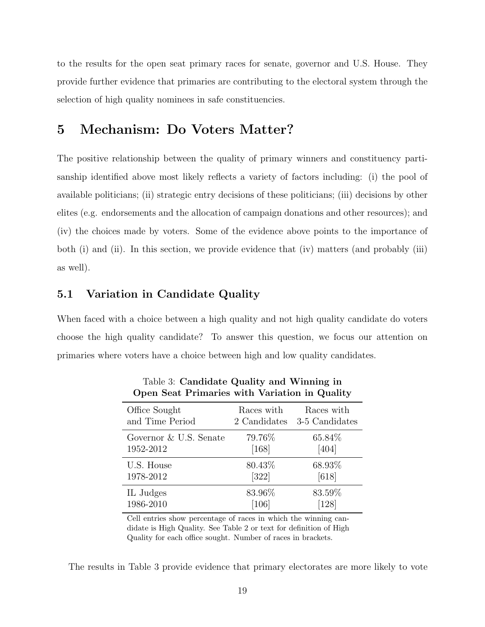to the results for the open seat primary races for senate, governor and U.S. House. They provide further evidence that primaries are contributing to the electoral system through the selection of high quality nominees in safe constituencies.

### 5 Mechanism: Do Voters Matter?

The positive relationship between the quality of primary winners and constituency partisanship identified above most likely reflects a variety of factors including: (i) the pool of available politicians; (ii) strategic entry decisions of these politicians; (iii) decisions by other elites (e.g. endorsements and the allocation of campaign donations and other resources); and (iv) the choices made by voters. Some of the evidence above points to the importance of both (i) and (ii). In this section, we provide evidence that (iv) matters (and probably (iii) as well).

#### 5.1 Variation in Candidate Quality

When faced with a choice between a high quality and not high quality candidate do voters choose the high quality candidate? To answer this question, we focus our attention on primaries where voters have a choice between high and low quality candidates.

| Office Sought          | Races with   | Races with     |
|------------------------|--------------|----------------|
| and Time Period        | 2 Candidates | 3-5 Candidates |
| Governor & U.S. Senate | 79.76%       | 65.84%         |
| 1952-2012              | [168]        | [404]          |
| U.S. House             | 80.43%       | 68.93%         |
| 1978-2012              | $[322]$      | [618]          |
| IL Judges              | 83.96%       | 83.59%         |
| 1986-2010              | [106]        | [128]          |

Table 3: Candidate Quality and Winning in Open Seat Primaries with Variation in Quality

Cell entries show percentage of races in which the winning candidate is High Quality. See Table 2 or text for definition of High Quality for each office sought. Number of races in brackets.

The results in Table 3 provide evidence that primary electorates are more likely to vote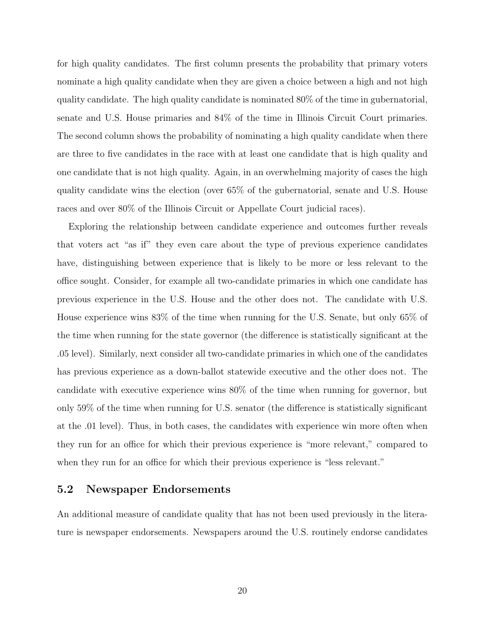for high quality candidates. The first column presents the probability that primary voters nominate a high quality candidate when they are given a choice between a high and not high quality candidate. The high quality candidate is nominated 80% of the time in gubernatorial, senate and U.S. House primaries and 84% of the time in Illinois Circuit Court primaries. The second column shows the probability of nominating a high quality candidate when there are three to five candidates in the race with at least one candidate that is high quality and one candidate that is not high quality. Again, in an overwhelming majority of cases the high quality candidate wins the election (over 65% of the gubernatorial, senate and U.S. House races and over 80% of the Illinois Circuit or Appellate Court judicial races).

Exploring the relationship between candidate experience and outcomes further reveals that voters act "as if" they even care about the type of previous experience candidates have, distinguishing between experience that is likely to be more or less relevant to the office sought. Consider, for example all two-candidate primaries in which one candidate has previous experience in the U.S. House and the other does not. The candidate with U.S. House experience wins 83% of the time when running for the U.S. Senate, but only 65% of the time when running for the state governor (the difference is statistically significant at the .05 level). Similarly, next consider all two-candidate primaries in which one of the candidates has previous experience as a down-ballot statewide executive and the other does not. The candidate with executive experience wins 80% of the time when running for governor, but only 59% of the time when running for U.S. senator (the difference is statistically significant at the .01 level). Thus, in both cases, the candidates with experience win more often when they run for an office for which their previous experience is "more relevant," compared to when they run for an office for which their previous experience is "less relevant."

#### 5.2 Newspaper Endorsements

An additional measure of candidate quality that has not been used previously in the literature is newspaper endorsements. Newspapers around the U.S. routinely endorse candidates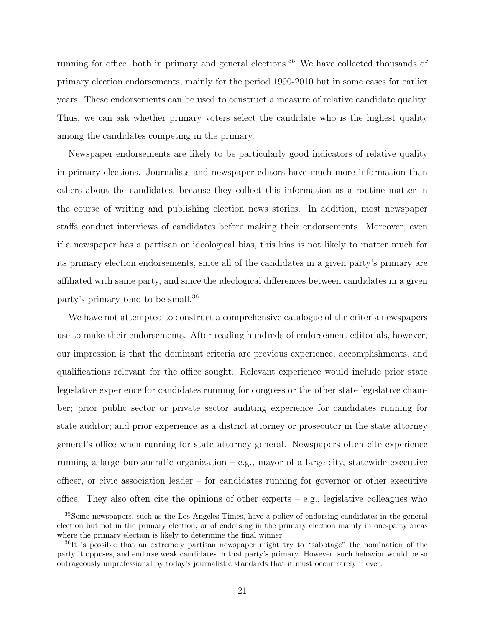running for office, both in primary and general elections.<sup>35</sup> We have collected thousands of primary election endorsements, mainly for the period 1990-2010 but in some cases for earlier years. These endorsements can be used to construct a measure of relative candidate quality. Thus, we can ask whether primary voters select the candidate who is the highest quality among the candidates competing in the primary.

Newspaper endorsements are likely to be particularly good indicators of relative quality in primary elections. Journalists and newspaper editors have much more information than others about the candidates, because they collect this information as a routine matter in the course of writing and publishing election news stories. In addition, most newspaper staffs conduct interviews of candidates before making their endorsements. Moreover, even if a newspaper has a partisan or ideological bias, this bias is not likely to matter much for its primary election endorsements, since all of the candidates in a given party's primary are affiliated with same party, and since the ideological differences between candidates in a given party's primary tend to be small.<sup>36</sup>

We have not attempted to construct a comprehensive catalogue of the criteria newspapers use to make their endorsements. After reading hundreds of endorsement editorials, however, our impression is that the dominant criteria are previous experience, accomplishments, and qualifications relevant for the office sought. Relevant experience would include prior state legislative experience for candidates running for congress or the other state legislative chamber; prior public sector or private sector auditing experience for candidates running for state auditor; and prior experience as a district attorney or prosecutor in the state attorney general's office when running for state attorney general. Newspapers often cite experience running a large bureaucratic organization – e.g., mayor of a large city, statewide executive officer, or civic association leader – for candidates running for governor or other executive office. They also often cite the opinions of other experts – e.g., legislative colleagues who

<sup>35</sup>Some newspapers, such as the Los Angeles Times, have a policy of endorsing candidates in the general election but not in the primary election, or of endorsing in the primary election mainly in one-party areas where the primary election is likely to determine the final winner.

<sup>36</sup>It is possible that an extremely partisan newspaper might try to "sabotage" the nomination of the party it opposes, and endorse weak candidates in that party's primary. However, such behavior would be so outrageously unprofessional by today's journalistic standards that it must occur rarely if ever.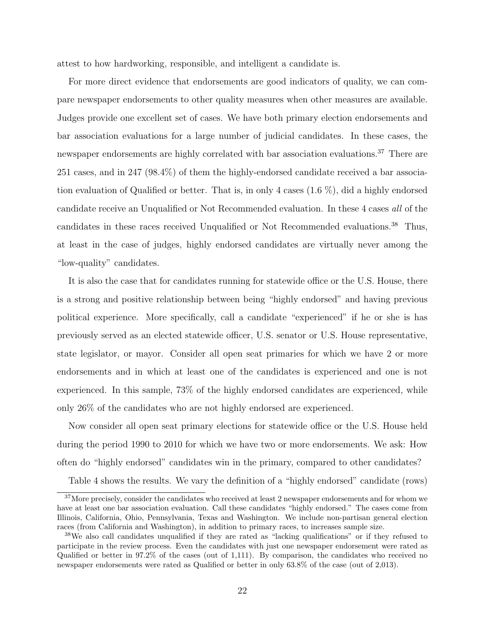attest to how hardworking, responsible, and intelligent a candidate is.

For more direct evidence that endorsements are good indicators of quality, we can compare newspaper endorsements to other quality measures when other measures are available. Judges provide one excellent set of cases. We have both primary election endorsements and bar association evaluations for a large number of judicial candidates. In these cases, the newspaper endorsements are highly correlated with bar association evaluations.<sup>37</sup> There are 251 cases, and in 247 (98.4%) of them the highly-endorsed candidate received a bar association evaluation of Qualified or better. That is, in only 4 cases (1.6 %), did a highly endorsed candidate receive an Unqualified or Not Recommended evaluation. In these 4 cases all of the candidates in these races received Unqualified or Not Recommended evaluations.<sup>38</sup> Thus, at least in the case of judges, highly endorsed candidates are virtually never among the "low-quality" candidates.

It is also the case that for candidates running for statewide office or the U.S. House, there is a strong and positive relationship between being "highly endorsed" and having previous political experience. More specifically, call a candidate "experienced" if he or she is has previously served as an elected statewide officer, U.S. senator or U.S. House representative, state legislator, or mayor. Consider all open seat primaries for which we have 2 or more endorsements and in which at least one of the candidates is experienced and one is not experienced. In this sample, 73% of the highly endorsed candidates are experienced, while only 26% of the candidates who are not highly endorsed are experienced.

Now consider all open seat primary elections for statewide office or the U.S. House held during the period 1990 to 2010 for which we have two or more endorsements. We ask: How often do "highly endorsed" candidates win in the primary, compared to other candidates?

Table 4 shows the results. We vary the definition of a "highly endorsed" candidate (rows)

<sup>&</sup>lt;sup>37</sup>More precisely, consider the candidates who received at least 2 newspaper endorsements and for whom we have at least one bar association evaluation. Call these candidates "highly endorsed." The cases come from Illinois, California, Ohio, Pennsylvania, Texas and Washington. We include non-partisan general election races (from California and Washington), in addition to primary races, to increases sample size.

<sup>&</sup>lt;sup>38</sup>We also call candidates unqualified if they are rated as "lacking qualifications" or if they refused to participate in the review process. Even the candidates with just one newspaper endorsement were rated as Qualified or better in 97.2% of the cases (out of 1,111). By comparison, the candidates who received no newspaper endorsements were rated as Qualified or better in only 63.8% of the case (out of 2,013).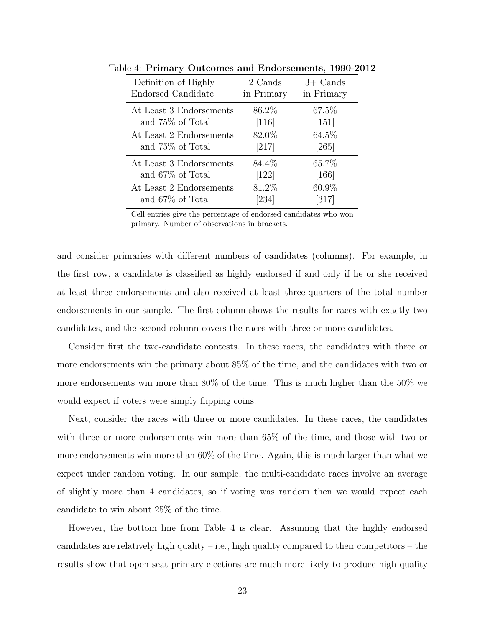| Definition of Highly    | 2 Cands    | $3+$ Cands         |
|-------------------------|------------|--------------------|
| Endorsed Candidate      | in Primary | in Primary         |
| At Least 3 Endorsements | 86.2%      | 67.5%              |
| and 75\% of Total       | $[116]$    | $[151]$            |
| At Least 2 Endorsements | 82.0%      | $64.5\%$           |
| and 75\% of Total       | $[217]$    | $[265]$            |
| At Least 3 Endorsements | 84.4%      | 65.7%              |
| and 67\% of Total       | [122]      | $[166]$            |
| At Least 2 Endorsements | 81.2%      | 60.9%              |
| and 67% of Total        | [234]      | $\left[317\right]$ |

Table 4: Primary Outcomes and Endorsements, 1990-2012

Cell entries give the percentage of endorsed candidates who won primary. Number of observations in brackets.

and consider primaries with different numbers of candidates (columns). For example, in the first row, a candidate is classified as highly endorsed if and only if he or she received at least three endorsements and also received at least three-quarters of the total number endorsements in our sample. The first column shows the results for races with exactly two candidates, and the second column covers the races with three or more candidates.

Consider first the two-candidate contests. In these races, the candidates with three or more endorsements win the primary about 85% of the time, and the candidates with two or more endorsements win more than 80% of the time. This is much higher than the 50% we would expect if voters were simply flipping coins.

Next, consider the races with three or more candidates. In these races, the candidates with three or more endorsements win more than 65% of the time, and those with two or more endorsements win more than 60% of the time. Again, this is much larger than what we expect under random voting. In our sample, the multi-candidate races involve an average of slightly more than 4 candidates, so if voting was random then we would expect each candidate to win about 25% of the time.

However, the bottom line from Table 4 is clear. Assuming that the highly endorsed candidates are relatively high quality – i.e., high quality compared to their competitors – the results show that open seat primary elections are much more likely to produce high quality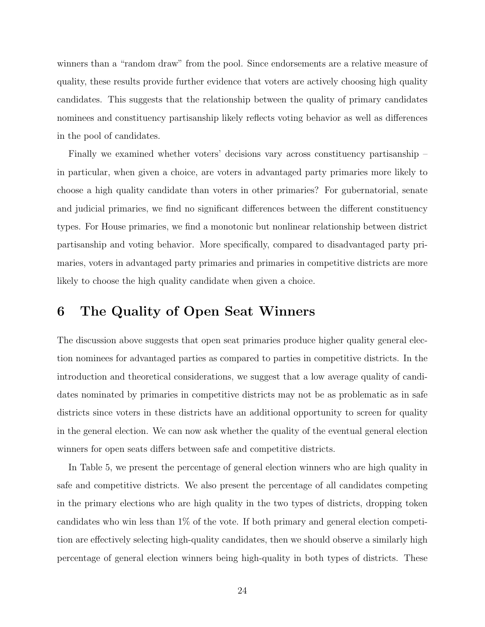winners than a "random draw" from the pool. Since endorsements are a relative measure of quality, these results provide further evidence that voters are actively choosing high quality candidates. This suggests that the relationship between the quality of primary candidates nominees and constituency partisanship likely reflects voting behavior as well as differences in the pool of candidates.

Finally we examined whether voters' decisions vary across constituency partisanship – in particular, when given a choice, are voters in advantaged party primaries more likely to choose a high quality candidate than voters in other primaries? For gubernatorial, senate and judicial primaries, we find no significant differences between the different constituency types. For House primaries, we find a monotonic but nonlinear relationship between district partisanship and voting behavior. More specifically, compared to disadvantaged party primaries, voters in advantaged party primaries and primaries in competitive districts are more likely to choose the high quality candidate when given a choice.

### 6 The Quality of Open Seat Winners

The discussion above suggests that open seat primaries produce higher quality general election nominees for advantaged parties as compared to parties in competitive districts. In the introduction and theoretical considerations, we suggest that a low average quality of candidates nominated by primaries in competitive districts may not be as problematic as in safe districts since voters in these districts have an additional opportunity to screen for quality in the general election. We can now ask whether the quality of the eventual general election winners for open seats differs between safe and competitive districts.

In Table 5, we present the percentage of general election winners who are high quality in safe and competitive districts. We also present the percentage of all candidates competing in the primary elections who are high quality in the two types of districts, dropping token candidates who win less than 1% of the vote. If both primary and general election competition are effectively selecting high-quality candidates, then we should observe a similarly high percentage of general election winners being high-quality in both types of districts. These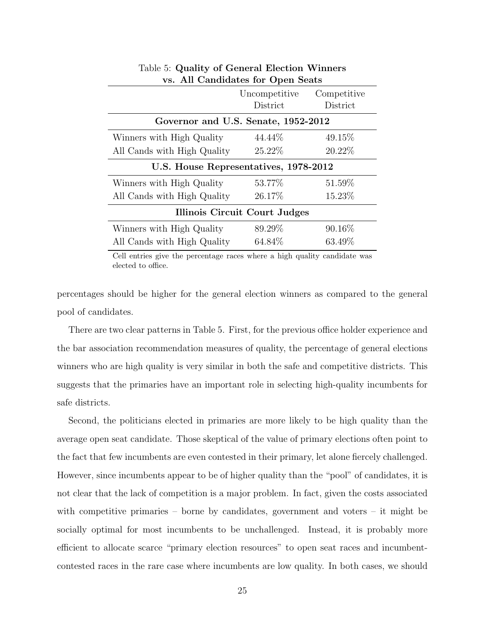|                                       | Uncompetitive<br>District | Competitive<br>District |  |  |
|---------------------------------------|---------------------------|-------------------------|--|--|
|                                       |                           |                         |  |  |
| Governor and U.S. Senate, 1952-2012   |                           |                         |  |  |
| Winners with High Quality             | 44.44\%                   | 49.15%                  |  |  |
| All Cands with High Quality           | 25.22%                    | 20.22%                  |  |  |
| U.S. House Representatives, 1978-2012 |                           |                         |  |  |
| Winners with High Quality             | 53.77%                    | 51.59%                  |  |  |
| All Cands with High Quality           | 26.17%                    | 15.23%                  |  |  |
| Illinois Circuit Court Judges         |                           |                         |  |  |
| Winners with High Quality             | 89.29%                    | 90.16\%                 |  |  |
| All Cands with High Quality           | 64.84\%                   | 63.49\%                 |  |  |

Table 5: Quality of General Election Winners vs. All Candidates for Open Seats

Cell entries give the percentage races where a high quality candidate was elected to office.

percentages should be higher for the general election winners as compared to the general pool of candidates.

There are two clear patterns in Table 5. First, for the previous office holder experience and the bar association recommendation measures of quality, the percentage of general elections winners who are high quality is very similar in both the safe and competitive districts. This suggests that the primaries have an important role in selecting high-quality incumbents for safe districts.

Second, the politicians elected in primaries are more likely to be high quality than the average open seat candidate. Those skeptical of the value of primary elections often point to the fact that few incumbents are even contested in their primary, let alone fiercely challenged. However, since incumbents appear to be of higher quality than the "pool" of candidates, it is not clear that the lack of competition is a major problem. In fact, given the costs associated with competitive primaries – borne by candidates, government and voters – it might be socially optimal for most incumbents to be unchallenged. Instead, it is probably more efficient to allocate scarce "primary election resources" to open seat races and incumbentcontested races in the rare case where incumbents are low quality. In both cases, we should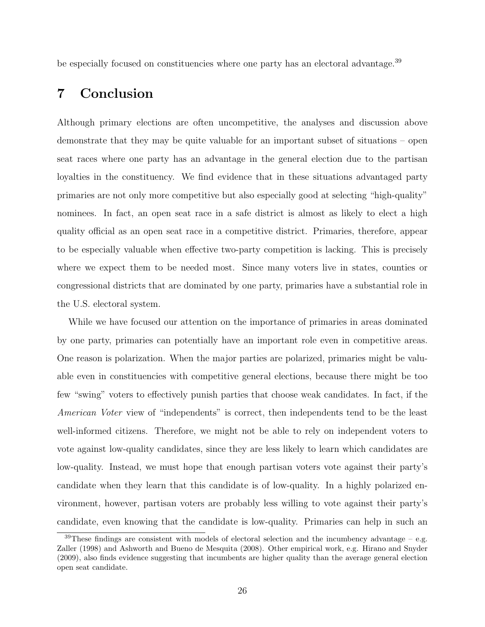be especially focused on constituencies where one party has an electoral advantage.<sup>39</sup>

### 7 Conclusion

Although primary elections are often uncompetitive, the analyses and discussion above demonstrate that they may be quite valuable for an important subset of situations – open seat races where one party has an advantage in the general election due to the partisan loyalties in the constituency. We find evidence that in these situations advantaged party primaries are not only more competitive but also especially good at selecting "high-quality" nominees. In fact, an open seat race in a safe district is almost as likely to elect a high quality official as an open seat race in a competitive district. Primaries, therefore, appear to be especially valuable when effective two-party competition is lacking. This is precisely where we expect them to be needed most. Since many voters live in states, counties or congressional districts that are dominated by one party, primaries have a substantial role in the U.S. electoral system.

While we have focused our attention on the importance of primaries in areas dominated by one party, primaries can potentially have an important role even in competitive areas. One reason is polarization. When the major parties are polarized, primaries might be valuable even in constituencies with competitive general elections, because there might be too few "swing" voters to effectively punish parties that choose weak candidates. In fact, if the American Voter view of "independents" is correct, then independents tend to be the least well-informed citizens. Therefore, we might not be able to rely on independent voters to vote against low-quality candidates, since they are less likely to learn which candidates are low-quality. Instead, we must hope that enough partisan voters vote against their party's candidate when they learn that this candidate is of low-quality. In a highly polarized environment, however, partisan voters are probably less willing to vote against their party's candidate, even knowing that the candidate is low-quality. Primaries can help in such an

 $39$ These findings are consistent with models of electoral selection and the incumbency advantage – e.g. Zaller (1998) and Ashworth and Bueno de Mesquita (2008). Other empirical work, e.g. Hirano and Snyder (2009), also finds evidence suggesting that incumbents are higher quality than the average general election open seat candidate.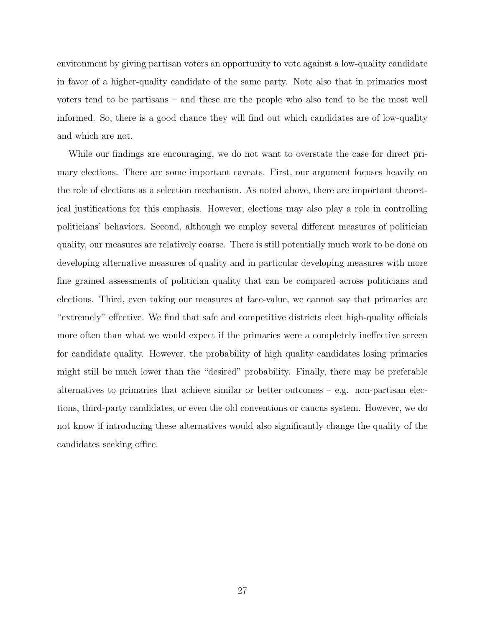environment by giving partisan voters an opportunity to vote against a low-quality candidate in favor of a higher-quality candidate of the same party. Note also that in primaries most voters tend to be partisans – and these are the people who also tend to be the most well informed. So, there is a good chance they will find out which candidates are of low-quality and which are not.

While our findings are encouraging, we do not want to overstate the case for direct primary elections. There are some important caveats. First, our argument focuses heavily on the role of elections as a selection mechanism. As noted above, there are important theoretical justifications for this emphasis. However, elections may also play a role in controlling politicians' behaviors. Second, although we employ several different measures of politician quality, our measures are relatively coarse. There is still potentially much work to be done on developing alternative measures of quality and in particular developing measures with more fine grained assessments of politician quality that can be compared across politicians and elections. Third, even taking our measures at face-value, we cannot say that primaries are "extremely" effective. We find that safe and competitive districts elect high-quality officials more often than what we would expect if the primaries were a completely ineffective screen for candidate quality. However, the probability of high quality candidates losing primaries might still be much lower than the "desired" probability. Finally, there may be preferable alternatives to primaries that achieve similar or better outcomes  $-$  e.g. non-partisan elections, third-party candidates, or even the old conventions or caucus system. However, we do not know if introducing these alternatives would also significantly change the quality of the candidates seeking office.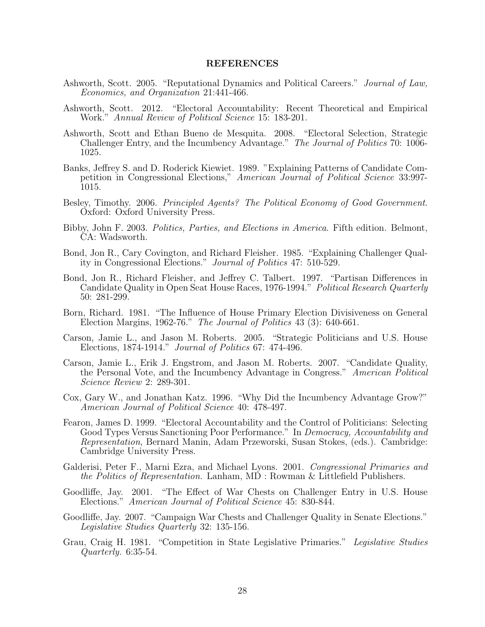#### REFERENCES

- Ashworth, Scott. 2005. "Reputational Dynamics and Political Careers." Journal of Law, Economics, and Organization 21:441-466.
- Ashworth, Scott. 2012. "Electoral Accountability: Recent Theoretical and Empirical Work." Annual Review of Political Science 15: 183-201.
- Ashworth, Scott and Ethan Bueno de Mesquita. 2008. "Electoral Selection, Strategic Challenger Entry, and the Incumbency Advantage." The Journal of Politics 70: 1006- 1025.
- Banks, Jeffrey S. and D. Roderick Kiewiet. 1989. "Explaining Patterns of Candidate Competition in Congressional Elections," American Journal of Political Science 33:997- 1015.
- Besley, Timothy. 2006. Principled Agents? The Political Economy of Good Government. Oxford: Oxford University Press.
- Bibby, John F. 2003. Politics, Parties, and Elections in America. Fifth edition. Belmont, CA: Wadsworth.
- Bond, Jon R., Cary Covington, and Richard Fleisher. 1985. "Explaining Challenger Quality in Congressional Elections." Journal of Politics 47: 510-529.
- Bond, Jon R., Richard Fleisher, and Jeffrey C. Talbert. 1997. "Partisan Differences in Candidate Quality in Open Seat House Races, 1976-1994." Political Research Quarterly 50: 281-299.
- Born, Richard. 1981. "The Influence of House Primary Election Divisiveness on General Election Margins, 1962-76." The Journal of Politics 43 (3): 640-661.
- Carson, Jamie L., and Jason M. Roberts. 2005. "Strategic Politicians and U.S. House Elections, 1874-1914." Journal of Politics 67: 474-496.
- Carson, Jamie L., Erik J. Engstrom, and Jason M. Roberts. 2007. "Candidate Quality, the Personal Vote, and the Incumbency Advantage in Congress." American Political Science Review 2: 289-301.
- Cox, Gary W., and Jonathan Katz. 1996. "Why Did the Incumbency Advantage Grow?" American Journal of Political Science 40: 478-497.
- Fearon, James D. 1999. "Electoral Accountability and the Control of Politicians: Selecting Good Types Versus Sanctioning Poor Performance." In Democracy, Accountability and Representation, Bernard Manin, Adam Przeworski, Susan Stokes, (eds.). Cambridge: Cambridge University Press.
- Galderisi, Peter F., Marni Ezra, and Michael Lyons. 2001. Congressional Primaries and the Politics of Representation. Lanham, MD : Rowman & Littlefield Publishers.
- Goodliffe, Jay. 2001. "The Effect of War Chests on Challenger Entry in U.S. House Elections." American Journal of Political Science 45: 830-844.
- Goodliffe, Jay. 2007. "Campaign War Chests and Challenger Quality in Senate Elections." Legislative Studies Quarterly 32: 135-156.
- Grau, Craig H. 1981. "Competition in State Legislative Primaries." Legislative Studies Quarterly. 6:35-54.